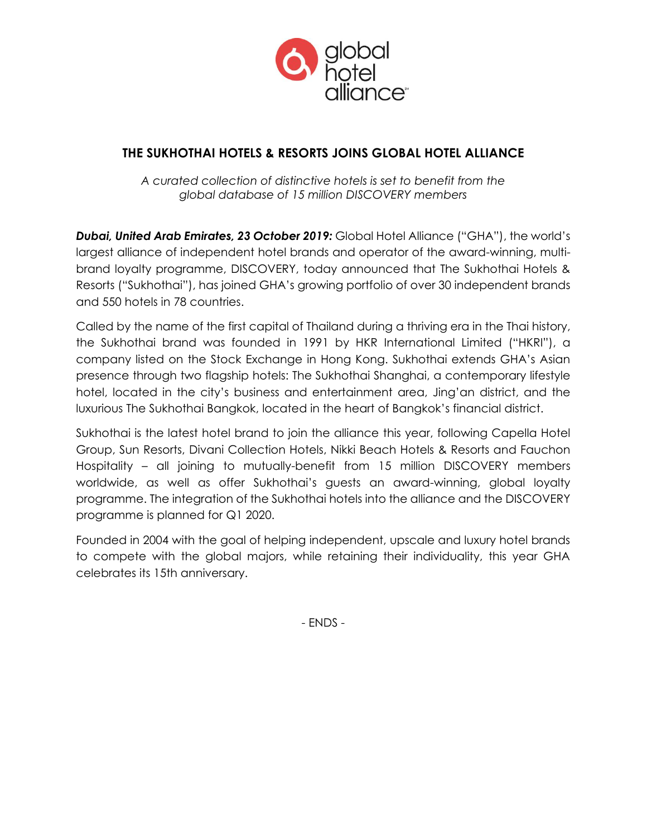

# **THE SUKHOTHAI HOTELS & RESORTS JOINS GLOBAL HOTEL ALLIANCE**

*A curated collection of distinctive hotels is set to benefit from the global database of 15 million DISCOVERY members* 

*Dubai, United Arab Emirates, 23 October 2019:* Global Hotel Alliance ("GHA"), the world's largest alliance of independent hotel brands and operator of the award-winning, multibrand loyalty programme, DISCOVERY, today announced that The Sukhothai Hotels & Resorts ("Sukhothai"), has joined GHA's growing portfolio of over 30 independent brands and 550 hotels in 78 countries.

Called by the name of the first capital of Thailand during a thriving era in the Thai history, the Sukhothai brand was founded in 1991 by HKR International Limited ("HKRI"), a company listed on the Stock Exchange in Hong Kong. Sukhothai extends GHA's Asian presence through two flagship hotels: The Sukhothai Shanghai, a contemporary lifestyle hotel, located in the city's business and entertainment area, Jing'an district, and the luxurious The Sukhothai Bangkok, located in the heart of Bangkok's financial district.

Sukhothai is the latest hotel brand to join the alliance this year, following Capella Hotel Group, Sun Resorts, Divani Collection Hotels, Nikki Beach Hotels & Resorts and Fauchon Hospitality – all joining to mutually-benefit from 15 million DISCOVERY members worldwide, as well as offer Sukhothai's guests an award-winning, global loyalty programme. The integration of the Sukhothai hotels into the alliance and the DISCOVERY programme is planned for Q1 2020.

Founded in 2004 with the goal of helping independent, upscale and luxury hotel brands to compete with the global majors, while retaining their individuality, this year GHA celebrates its 15th anniversary.

- ENDS -